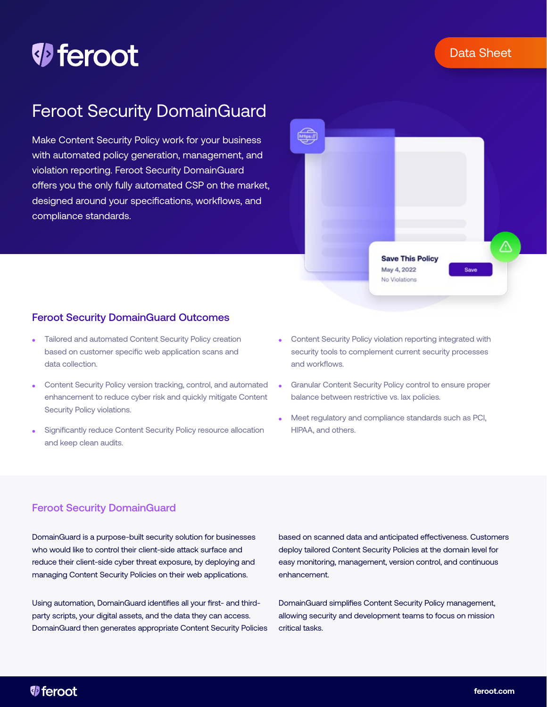## Data Sheet

# *D* feroot

## Feroot Security DomainGuard

Make Content Security Policy work for your business with automated policy generation, management, and violation reporting. Feroot Security DomainGuard offers you the only fully automated CSP on the market, designed around your specifications, workflows, and compliance standards.



## Feroot Security DomainGuard Outcomes

- ⚫ Tailored and automated Content Security Policy creation based on customer specific web application scans and data collection.
- ⚫ Content Security Policy version tracking, control, and automated enhancement to reduce cyber risk and quickly mitigate Content Security Policy violations.
- ⚫ Significantly reduce Content Security Policy resource allocation and keep clean audits.
- ⚫ Content Security Policy violation reporting integrated with security tools to complement current security processes and workflows.
- ⚫ Granular Content Security Policy control to ensure proper balance between restrictive vs. lax policies.
- ⚫ Meet regulatory and compliance standards such as PCI, HIPAA, and others.

## Feroot Security DomainGuard

DomainGuard is a purpose-built security solution for businesses who would like to control their client-side attack surface and reduce their client-side cyber threat exposure, by deploying and managing Content Security Policies on their web applications.

Using automation, DomainGuard identifies all your first- and thirdparty scripts, your digital assets, and the data they can access. DomainGuard then generates appropriate Content Security Policies based on scanned data and anticipated effectiveness. Customers deploy tailored Content Security Policies at the domain level for easy monitoring, management, version control, and continuous enhancement.

DomainGuard simplifies Content Security Policy management, allowing security and development teams to focus on mission critical tasks.